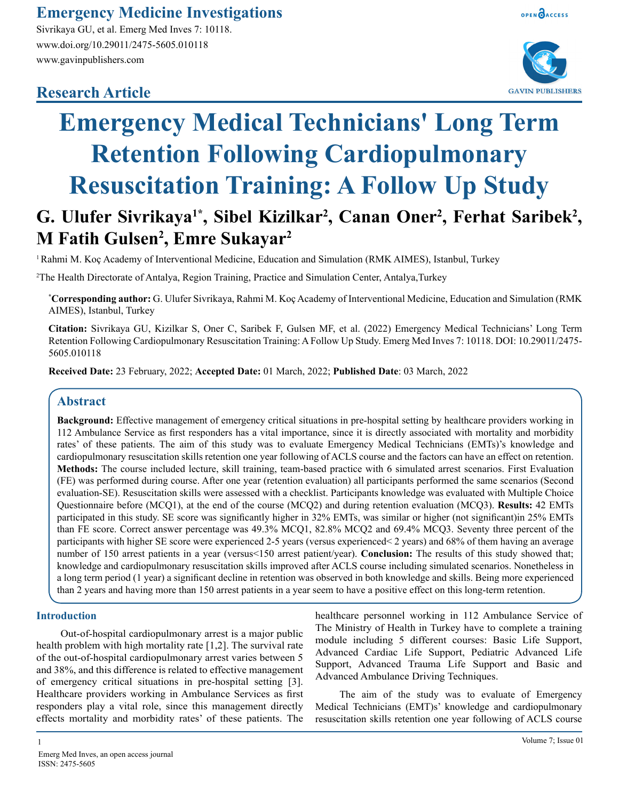### **Emergency Medicine Investigations**

Sivrikaya GU, et al. Emerg Med Inves 7: 10118. www.doi.org/10.29011/2475-5605.010118 www.gavinpublishers.com

## **Research Article**





# **Emergency Medical Technicians' Long Term Retention Following Cardiopulmonary Resuscitation Training: A Follow Up Study**

# G. Ulufer Sivrikaya<sup>1\*</sup>, Sibel Kizilkar<sup>2</sup>, Canan Oner<sup>2</sup>, Ferhat Saribek<sup>2</sup>, **M Fatih Gulsen2 , Emre Sukayar2**

1 Rahmi M. Koç Academy of Interventional Medicine, Education and Simulation (RMK AIMES), Istanbul, Turkey

2 The Health Directorate of Antalya, Region Training, Practice and Simulation Center, Antalya,Turkey

**\* Corresponding author:** G. Ulufer Sivrikaya, Rahmi M. Koç Academy of Interventional Medicine, Education and Simulation (RMK AIMES), Istanbul, Turkey

**Citation:** Sivrikaya GU, Kizilkar S, Oner C, Saribek F, Gulsen MF, et al. (2022) Emergency Medical Technicians' Long Term Retention Following Cardiopulmonary Resuscitation Training: A Follow Up Study. Emerg Med Inves 7: 10118. DOI: 10.29011/2475- 5605.010118

**Received Date:** 23 February, 2022; **Accepted Date:** 01 March, 2022; **Published Date**: 03 March, 2022

#### **Abstract**

**Background:** Effective management of emergency critical situations in pre-hospital setting by healthcare providers working in 112 Ambulance Service as first responders has a vital importance, since it is directly associated with mortality and morbidity rates' of these patients. The aim of this study was to evaluate Emergency Medical Technicians (EMTs)'s knowledge and cardiopulmonary resuscitation skills retention one year following of ACLS course and the factors can have an effect on retention. **Methods:** The course included lecture, skill training, team-based practice with 6 simulated arrest scenarios. First Evaluation (FE) was performed during course. After one year (retention evaluation) all participants performed the same scenarios (Second evaluation-SE). Resuscitation skills were assessed with a checklist. Participants knowledge was evaluated with Multiple Choice Questionnaire before (MCQ1), at the end of the course (MCQ2) and during retention evaluation (MCQ3). **Results:** 42 EMTs participated in this study. SE score was significantly higher in 32% EMTs, was similar or higher (not significant)in 25% EMTs than FE score. Correct answer percentage was 49.3% MCQ1, 82.8% MCQ2 and 69.4% MCQ3. Seventy three percent of the participants with higher SE score were experienced 2-5 years (versus experienced< 2 years) and 68% of them having an average number of 150 arrest patients in a year (versus<150 arrest patient/year). **Conclusion:** The results of this study showed that; knowledge and cardiopulmonary resuscitation skills improved after ACLS course including simulated scenarios. Nonetheless in a long term period (1 year) a significant decline in retention was observed in both knowledge and skills. Being more experienced than 2 years and having more than 150 arrest patients in a year seem to have a positive effect on this long-term retention.

#### **Introduction**

Out-of-hospital cardiopulmonary arrest is a major public health problem with high mortality rate [1,2]. The survival rate of the out-of-hospital cardiopulmonary arrest varies between 5 and 38%, and this difference is related to effective management of emergency critical situations in pre-hospital setting [3]. Healthcare providers working in Ambulance Services as first responders play a vital role, since this management directly effects mortality and morbidity rates' of these patients. The

healthcare personnel working in 112 Ambulance Service of The Ministry of Health in Turkey have to complete a training module including 5 different courses: Basic Life Support, Advanced Cardiac Life Support, Pediatric Advanced Life Support, Advanced Trauma Life Support and Basic and Advanced Ambulance Driving Techniques.

The aim of the study was to evaluate of Emergency Medical Technicians (EMT)s' knowledge and cardiopulmonary resuscitation skills retention one year following of ACLS course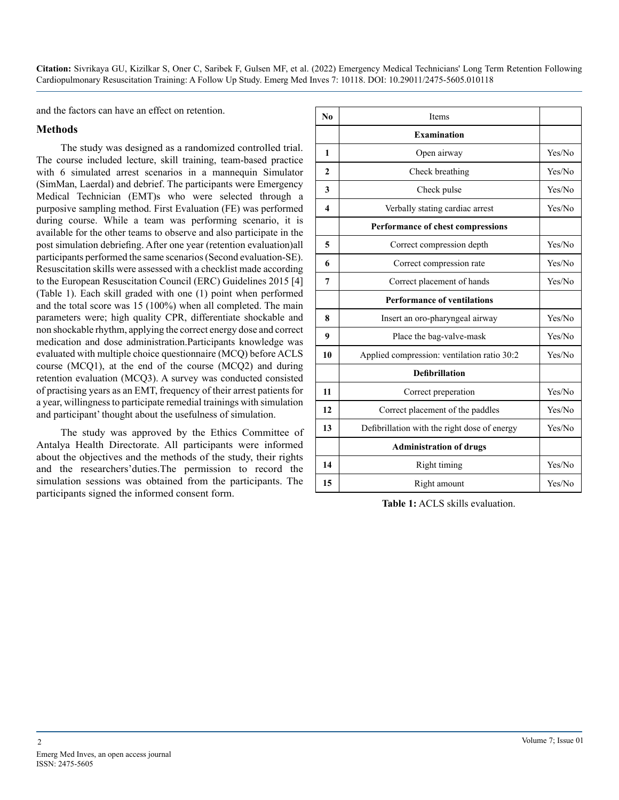and the factors can have an effect on retention.

#### **Methods**

The study was designed as a randomized controlled trial. The course included lecture, skill training, team-based practice with 6 simulated arrest scenarios in a mannequin Simulator (SimMan, Laerdal) and debrief. The participants were Emergency Medical Technician (EMT)s who were selected through a purposive sampling method. First Evaluation (FE) was performed during course. While a team was performing scenario, it is available for the other teams to observe and also participate in the post simulation debriefing. After one year (retention evaluation)all participants performed the same scenarios (Second evaluation-SE). Resuscitation skills were assessed with a checklist made according to the European Resuscitation Council (ERC) Guidelines 2015 [4] (Table 1). Each skill graded with one (1) point when performed and the total score was 15 (100%) when all completed. The main parameters were; high quality CPR, differentiate shockable and non shockable rhythm, applying the correct energy dose and correct medication and dose administration.Participants knowledge was evaluated with multiple choice questionnaire (MCQ) before ACLS course (MCQ1), at the end of the course (MCQ2) and during retention evaluation (MCQ3). A survey was conducted consisted of practising years as an EMT, frequency of their arrest patients for a year, willingness to participate remedial trainings with simulation and participant' thought about the usefulness of simulation.

The study was approved by the Ethics Committee of Antalya Health Directorate. All participants were informed about the objectives and the methods of the study, their rights and the researchers'duties.The permission to record the simulation sessions was obtained from the participants. The participants signed the informed consent form.

| N <sub>0</sub>          | Items                                        |        |  |  |
|-------------------------|----------------------------------------------|--------|--|--|
|                         | <b>Examination</b>                           |        |  |  |
| 1                       | Open airway                                  | Yes/No |  |  |
| $\mathbf{2}$            | Check breathing                              | Yes/No |  |  |
| 3                       | Check pulse                                  | Yes/No |  |  |
| $\overline{\mathbf{4}}$ | Verbally stating cardiac arrest              | Yes/No |  |  |
|                         | Performance of chest compressions            |        |  |  |
| 5                       | Correct compression depth                    | Yes/No |  |  |
| 6                       | Correct compression rate                     | Yes/No |  |  |
| 7                       | Correct placement of hands                   | Yes/No |  |  |
|                         | <b>Performance of ventilations</b>           |        |  |  |
| 8                       | Insert an oro-pharyngeal airway              | Yes/No |  |  |
| 9                       | Place the bag-valve-mask                     | Yes/No |  |  |
| 10                      | Applied compression: ventilation ratio 30:2  | Yes/No |  |  |
|                         | <b>Defibrillation</b>                        |        |  |  |
| 11                      | Correct preperation                          | Yes/No |  |  |
| 12                      | Correct placement of the paddles             | Yes/No |  |  |
| 13                      | Defibrillation with the right dose of energy | Yes/No |  |  |
|                         | <b>Administration of drugs</b>               |        |  |  |
| 14                      | Right timing                                 | Yes/No |  |  |
| 15                      | Right amount                                 | Yes/No |  |  |

**Table 1:** ACLS skills evaluation.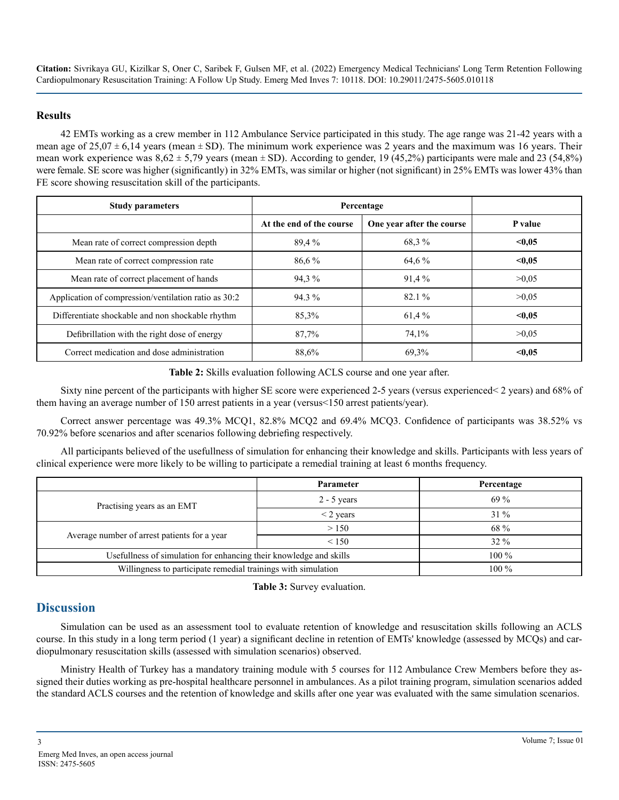#### **Results**

42 EMTs working as a crew member in 112 Ambulance Service participated in this study. The age range was 21-42 years with a mean age of  $25.07 \pm 6.14$  years (mean  $\pm$  SD). The minimum work experience was 2 years and the maximum was 16 years. Their mean work experience was  $8.62 \pm 5.79$  years (mean  $\pm$  SD). According to gender, 19 (45.2%) participants were male and 23 (54.8%) were female. SE score was higher (significantly) in 32% EMTs, was similar or higher (not significant) in 25% EMTs was lower 43% than FE score showing resuscitation skill of the participants.

| <b>Study parameters</b>                              | Percentage               |                           |         |
|------------------------------------------------------|--------------------------|---------------------------|---------|
|                                                      | At the end of the course | One year after the course | P value |
| Mean rate of correct compression depth               | 89,4 %                   | 68.3%                     | < 0.05  |
| Mean rate of correct compression rate                | $86.6\%$                 | 64,6 %                    | < 0.05  |
| Mean rate of correct placement of hands              | 94,3%                    | 91,4%                     | >0.05   |
| Application of compression/ventilation ratio as 30:2 | 94.3%                    | $82.1\%$                  | >0.05   |
| Differentiate shockable and non shockable rhythm     | 85,3%                    | 61,4%                     | < 0.05  |
| Defibrillation with the right dose of energy         | 87,7%                    | 74,1%                     | >0.05   |
| Correct medication and dose administration           | 88,6%                    | 69,3%                     | < 0.05  |

**Table 2:** Skills evaluation following ACLS course and one year after.

Sixty nine percent of the participants with higher SE score were experienced 2-5 years (versus experienced< 2 years) and 68% of them having an average number of 150 arrest patients in a year (versus<150 arrest patients/year).

Correct answer percentage was 49.3% MCQ1, 82.8% MCQ2 and 69.4% MCQ3. Confidence of participants was 38.52% vs 70.92% before scenarios and after scenarios following debriefing respectively.

All participants believed of the usefullness of simulation for enhancing their knowledge and skills. Participants with less years of clinical experience were more likely to be willing to participate a remedial training at least 6 months frequency.

|                                                                    | Parameter      | Percentage |
|--------------------------------------------------------------------|----------------|------------|
| Practising years as an EMT                                         | $2 - 5$ years  | $69\%$     |
|                                                                    | $\leq$ 2 years | $31\%$     |
|                                                                    | > 150          | 68 %       |
| Average number of arrest patients for a year                       | < 150          | $32\%$     |
| Usefullness of simulation for enhancing their knowledge and skills | $100\%$        |            |
| Willingness to participate remedial trainings with simulation      | $100\%$        |            |

**Table 3:** Survey evaluation.

#### **Discussion**

Simulation can be used as an assessment tool to evaluate retention of knowledge and resuscitation skills following an ACLS course. In this study in a long term period (1 year) a significant decline in retention of EMTs' knowledge (assessed by MCQs) and cardiopulmonary resuscitation skills (assessed with simulation scenarios) observed.

Ministry Health of Turkey has a mandatory training module with 5 courses for 112 Ambulance Crew Members before they assigned their duties working as pre-hospital healthcare personnel in ambulances. As a pilot training program, simulation scenarios added the standard ACLS courses and the retention of knowledge and skills after one year was evaluated with the same simulation scenarios.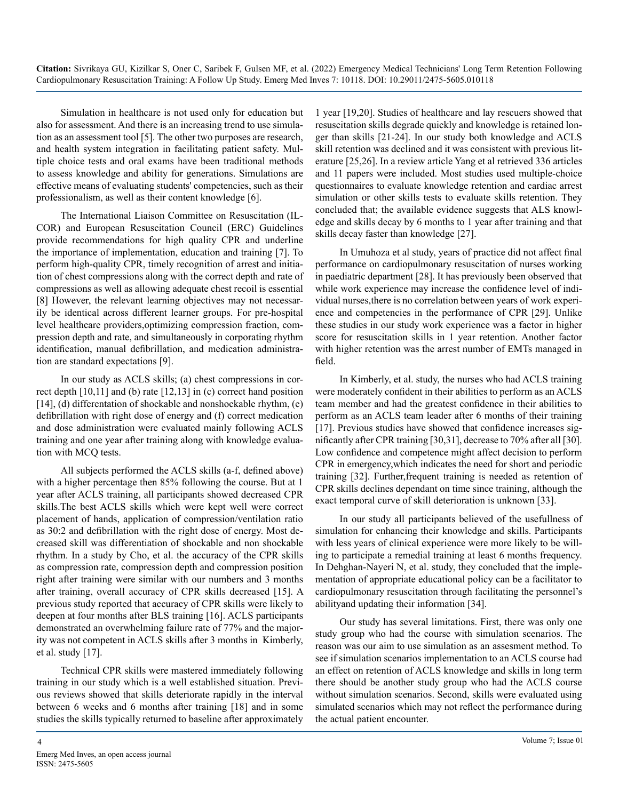Simulation in healthcare is not used only for education but also for assessment. And there is an increasing trend to use simulation as an assessment tool [5]. The other two purposes are research, and health system integration in facilitating patient safety. Multiple choice tests and oral exams have been traditional methods to assess knowledge and ability for generations. Simulations are effective means of evaluating students' competencies, such as their professionalism, as well as their content knowledge [6].

The International Liaison Committee on Resuscitation (IL-COR) and European Resuscitation Council (ERC) Guidelines provide recommendations for high quality CPR and underline the importance of implementation, education and training [7]. To perform high-quality CPR, timely recognition of arrest and initiation of chest compressions along with the correct depth and rate of compressions as well as allowing adequate chest recoil is essential [8] However, the relevant learning objectives may not necessarily be identical across different learner groups. For pre-hospital level healthcare providers,optimizing compression fraction, compression depth and rate, and simultaneously in corporating rhythm identification, manual defibrillation, and medication administration are standard expectations [9].

In our study as ACLS skills; (a) chest compressions in correct depth [10,11] and (b) rate [12,13] in (c) correct hand position [14], (d) differentation of shockable and nonshockable rhythm, (e) defibrillation with right dose of energy and (f) correct medication and dose administration were evaluated mainly following ACLS training and one year after training along with knowledge evaluation with MCQ tests.

All subjects performed the ACLS skills (a-f, defined above) with a higher percentage then 85% following the course. But at 1 year after ACLS training, all participants showed decreased CPR skills.The best ACLS skills which were kept well were correct placement of hands, application of compression/ventilation ratio as 30:2 and defibrillation with the right dose of energy. Most decreased skill was differentiation of shockable and non shockable rhythm. In a study by Cho, et al. the accuracy of the CPR skills as compression rate, compression depth and compression position right after training were similar with our numbers and 3 months after training, overall accuracy of CPR skills decreased [15]. A previous study reported that accuracy of CPR skills were likely to deepen at four months after BLS training [16]. ACLS participants demonstrated an overwhelming failure rate of 77% and the majority was not competent in ACLS skills after 3 months in Kimberly, et al. study [17].

Technical CPR skills were mastered immediately following training in our study which is a well established situation. Previous reviews showed that skills deteriorate rapidly in the interval between 6 weeks and 6 months after training [18] and in some studies the skills typically returned to baseline after approximately

1 year [19,20]. Studies of healthcare and lay rescuers showed that resuscitation skills degrade quickly and knowledge is retained longer than skills [21-24]. In our study both knowledge and ACLS skill retention was declined and it was consistent with previous literature [25,26]. In a review article Yang et al retrieved 336 articles and 11 papers were included. Most studies used multiple-choice questionnaires to evaluate knowledge retention and cardiac arrest simulation or other skills tests to evaluate skills retention. They concluded that; the available evidence suggests that ALS knowledge and skills decay by 6 months to 1 year after training and that skills decay faster than knowledge [27].

In Umuhoza et al study, years of practice did not affect final performance on cardiopulmonary resuscitation of nurses working in paediatric department [28]. It has previously been observed that while work experience may increase the confidence level of individual nurses,there is no correlation between years of work experience and competencies in the performance of CPR [29]. Unlike these studies in our study work experience was a factor in higher score for resuscitation skills in 1 year retention. Another factor with higher retention was the arrest number of EMTs managed in field.

In Kimberly, et al. study, the nurses who had ACLS training were moderately confident in their abilities to perform as an ACLS team member and had the greatest confidence in their abilities to perform as an ACLS team leader after 6 months of their training [17]. Previous studies have showed that confidence increases significantly after CPR training [30,31], decrease to 70% after all [30]. Low confidence and competence might affect decision to perform CPR in emergency,which indicates the need for short and periodic training [32]. Further,frequent training is needed as retention of CPR skills declines dependant on time since training, although the exact temporal curve of skill deterioration is unknown [33].

In our study all participants believed of the usefullness of simulation for enhancing their knowledge and skills. Participants with less years of clinical experience were more likely to be willing to participate a remedial training at least 6 months frequency. In Dehghan-Nayeri N, et al. study, they concluded that the implementation of appropriate educational policy can be a facilitator to cardiopulmonary resuscitation through facilitating the personnel's abilityand updating their information [34].

Our study has several limitations. First, there was only one study group who had the course with simulation scenarios. The reason was our aim to use simulation as an assesment method. To see if simulation scenarios implementation to an ACLS course had an effect on retention of ACLS knowledge and skills in long term there should be another study group who had the ACLS course without simulation scenarios. Second, skills were evaluated using simulated scenarios which may not reflect the performance during the actual patient encounter.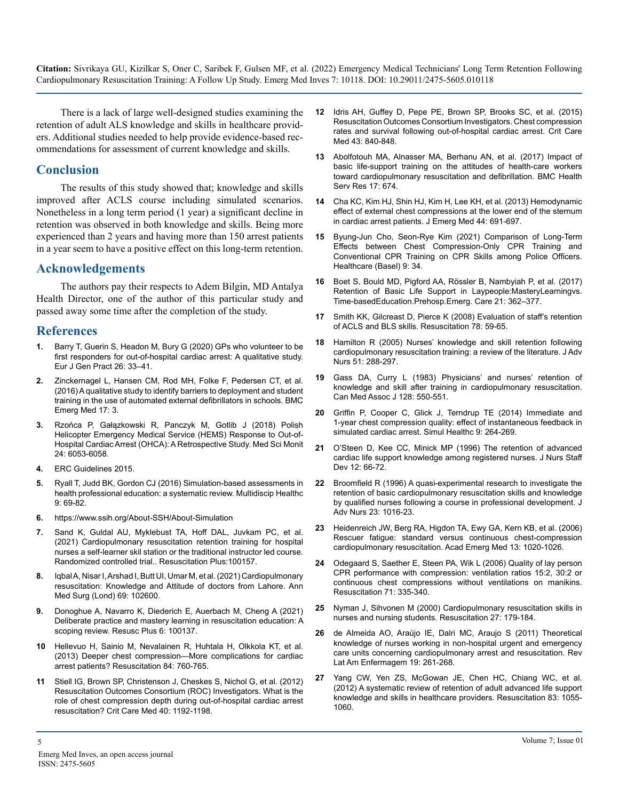There is a lack of large well-designed studies examining the retention of adult ALS knowledge and skills in healthcare providers. Additional studies needed to help provide evidence-based recommendations for assessment of current knowledge and skills.

#### **Conclusion**

The results of this study showed that; knowledge and skills improved after ACLS course including simulated scenarios. Nonetheless in a long term period (1 year) a significant decline in retention was observed in both knowledge and skills. Being more experienced than 2 years and having more than 150 arrest patients in a year seem to have a positive effect on this long-term retention.

#### **Acknowledgements**

The authors pay their respects to Adem Bilgin, MD Antalya Health Director, one of the author of this particular study and passed away some time after the completion of the study.

#### **References**

- **1.** [Barry T, Guerin S, Headon M, Bury G \(2020\) GPs who volunteer to be](https://pubmed.ncbi.nlm.nih.gov/31686571/)  [first responders for out-of-hospital cardiac arrest: A qualitative study.](https://pubmed.ncbi.nlm.nih.gov/31686571/) [Eur J Gen Pract 26: 33–41.](https://pubmed.ncbi.nlm.nih.gov/31686571/)
- **2.** [Zinckernagel L, Hansen CM, Rod MH, Folke F, Pedersen CT, et al.](https://www.ncbi.nlm.nih.gov/pmc/articles/PMC5248449/)  [\(2016\) A qualitative study to identify barriers to deployment and student](https://www.ncbi.nlm.nih.gov/pmc/articles/PMC5248449/)  [training in the use of automated external defibrillators in schools. BMC](https://www.ncbi.nlm.nih.gov/pmc/articles/PMC5248449/)  [Emerg Med 17: 3.](https://www.ncbi.nlm.nih.gov/pmc/articles/PMC5248449/)
- **3.** [Rzońca P, Gałązkowski R, Panczyk M, Gotlib J \(2018\) Polish](https://pubmed.ncbi.nlm.nih.gov/30166502/)  [Helicopter Emergency Medical Service \(HEMS\) Response to Out-of-](https://pubmed.ncbi.nlm.nih.gov/30166502/)[Hospital Cardiac Arrest \(OHCA\): A Retrospective Study. Med Sci Monit](https://pubmed.ncbi.nlm.nih.gov/30166502/)  [24: 6053-6058.](https://pubmed.ncbi.nlm.nih.gov/30166502/)
- **4.** [ERC Guidelines 2015.](https://ercguidelines.elsevierresource.com/)
- **5.** [Ryall T, Judd BK, Gordon CJ \(2016\) Simulation-based assessments in](https://pubmed.ncbi.nlm.nih.gov/26955280/)  [health professional education: a systematic review. Multidiscip Healthc](https://pubmed.ncbi.nlm.nih.gov/26955280/)  [9: 69-82](https://pubmed.ncbi.nlm.nih.gov/26955280/).
- **6.** https://www.ssih.org/About-SSH/About-Simulation
- **7.** [Sand K, Guldal AU, Myklebust TA, Hoff DAL, Juvkam PC, et al.](https://www.sciencedirect.com/science/article/pii/S2666520421000825)  [\(2021\) Cardiopulmonary resuscitation retention training for hospital](https://www.sciencedirect.com/science/article/pii/S2666520421000825)  [nurses a self-learner skil station or the traditional instructor led course.](https://www.sciencedirect.com/science/article/pii/S2666520421000825)  [Randomized controlled trial.. Resuscitation Plus:100157.](https://www.sciencedirect.com/science/article/pii/S2666520421000825)
- **8.** [Iqbal A, Nisar I, Arshad I, Butt UI, Umar M, et al. \(2021\) Cardiopulmonary](https://pubmed.ncbi.nlm.nih.gov/34457248/)  [resuscitation: Knowledge and Attitude of doctors from Lahore. Ann](https://pubmed.ncbi.nlm.nih.gov/34457248/)  [Med Surg \(Lond\) 69: 102600](https://pubmed.ncbi.nlm.nih.gov/34457248/).
- **9.** [Donoghue A, Navarro K, Diederich E, Auerbach M, Cheng A \(2021\)](https://pubmed.ncbi.nlm.nih.gov/34223392/)  [Deliberate practice and mastery learning in resuscitation education: A](https://pubmed.ncbi.nlm.nih.gov/34223392/)  [scoping review. Resusc Plus 6: 100137](https://pubmed.ncbi.nlm.nih.gov/34223392/).
- **10** [Hellevuo H, Sainio M, Nevalainen R, Huhtala H, Olkkola KT, et al.](https://pubmed.ncbi.nlm.nih.gov/23474390/)  [\(2013\) Deeper chest compression—More complications for cardiac](https://pubmed.ncbi.nlm.nih.gov/23474390/)  [arrest patients? Resuscitation 84: 760-765](https://pubmed.ncbi.nlm.nih.gov/23474390/).
- **11** [Stiell IG, Brown SP, Christenson J, Cheskes S, Nichol G, et al. \(2012\)](https://pubmed.ncbi.nlm.nih.gov/22202708/)  [Resuscitation Outcomes Consortium \(ROC\) Investigators. What is the](https://pubmed.ncbi.nlm.nih.gov/22202708/) [role of chest compression depth during out-of-hospital cardiac arrest](https://pubmed.ncbi.nlm.nih.gov/22202708/)  [resuscitation? Crit Care Med 40: 1192-1198](https://pubmed.ncbi.nlm.nih.gov/22202708/).
- **12** [Idris AH, Guffey D, Pepe PE, Brown SP, Brooks SC, et al. \(2015\)](https://pubmed.ncbi.nlm.nih.gov/25565457/)  [Resuscitation Outcomes Consortium Investigators. Chest compression](https://pubmed.ncbi.nlm.nih.gov/25565457/)  [rates and survival following out-of-hospital cardiac arrest. Crit Care](https://pubmed.ncbi.nlm.nih.gov/25565457/)  [Med 43: 840-848](https://pubmed.ncbi.nlm.nih.gov/25565457/).
- **13** [Abolfotouh MA, Alnasser MA, Berhanu AN, et al. \(2017\) Impact of](https://bmchealthservres.biomedcentral.com/articles/10.1186/s12913-017-2621-5) [basic life-support training on the attitudes of health-care workers](https://bmchealthservres.biomedcentral.com/articles/10.1186/s12913-017-2621-5)  [toward cardiopulmonary resuscitation and defibrillation. BMC Health](https://bmchealthservres.biomedcentral.com/articles/10.1186/s12913-017-2621-5)  [Serv Res 17: 674.](https://bmchealthservres.biomedcentral.com/articles/10.1186/s12913-017-2621-5)
- **14** [Cha KC, Kim HJ, Shin HJ, Kim H, Lee KH, et al. \(2013\) Hemodynamic](https://pubmed.ncbi.nlm.nih.gov/23218197/)  [effect of external chest compressions at the lower end of the sternum](https://pubmed.ncbi.nlm.nih.gov/23218197/)  [in cardiac arrest patients. J Emerg Med 44: 691-697](https://pubmed.ncbi.nlm.nih.gov/23218197/).
- **15** [Byung-Jun Cho, Seon-Rye Kim \(2021\) Comparison of Long-Term](https://pubmed.ncbi.nlm.nih.gov/33401707/)  [Effects between Chest Compression-Only CPR Training and](https://pubmed.ncbi.nlm.nih.gov/33401707/)  [Conventional CPR Training on CPR Skills among Police Officers.](https://pubmed.ncbi.nlm.nih.gov/33401707/) [Healthcare \(Basel\) 9: 34.](https://pubmed.ncbi.nlm.nih.gov/33401707/)
- **16** [Boet S, Bould MD, Pigford AA, Rössler B, Nambyiah P, et al. \(2017\)](https://pubmed.ncbi.nlm.nih.gov/28059603/)  [Retention of Basic Life Support in Laypeople:MasteryLearningvs.](https://pubmed.ncbi.nlm.nih.gov/28059603/) [Time-basedEducation.Prehosp.Emerg. Care 21: 362–377.](https://pubmed.ncbi.nlm.nih.gov/28059603/)
- **17** [Smith KK, Gilcreast D, Pierce K \(2008\) Evaluation of staff's retention](https://pubmed.ncbi.nlm.nih.gov/18406037/)  [of ACLS and BLS skills. Resuscitation 78: 59-65.](https://pubmed.ncbi.nlm.nih.gov/18406037/)
- **18** [Hamilton R \(2005\) Nurses' knowledge and skill retention following](https://pubmed.ncbi.nlm.nih.gov/16033596/)  [cardiopulmonary resuscitation training: a review of the literature. J Adv](https://pubmed.ncbi.nlm.nih.gov/16033596/)  [Nurs 51: 288-297.](https://pubmed.ncbi.nlm.nih.gov/16033596/)
- **19** [Gass DA, Curry L \(1983\) Physicians' and nurses' retention of](https://www.ncbi.nlm.nih.gov/pmc/articles/PMC1874955/)  [knowledge and skill after training in cardiopulmonary resuscitation.](https://www.ncbi.nlm.nih.gov/pmc/articles/PMC1874955/)  [Can Med Assoc J 128: 550-551.](https://www.ncbi.nlm.nih.gov/pmc/articles/PMC1874955/)
- **20** [Griffin P, Cooper C, Glick J, Terndrup TE \(2014\) Immediate and](https://pubmed.ncbi.nlm.nih.gov/24787561/)  [1-year chest compression quality: effect of instantaneous feedback in](https://pubmed.ncbi.nlm.nih.gov/24787561/)  [simulated cardiac arrest. Simul Healthc 9: 264-269.](https://pubmed.ncbi.nlm.nih.gov/24787561/)
- **21** [O'Steen D, Kee CC, Minick MP \(1996\) The retention of advanced](https://pubmed.ncbi.nlm.nih.gov/8715621/)  [cardiac life support knowledge among registered nurses. J Nurs Staff](https://pubmed.ncbi.nlm.nih.gov/8715621/) [Dev 12: 66-72.](https://pubmed.ncbi.nlm.nih.gov/8715621/)
- **22** [Broomfield R \(1996\) A quasi-experimental research to investigate the](https://pubmed.ncbi.nlm.nih.gov/8732531/)  [retention of basic cardiopulmonary resuscitation skills and knowledge](https://pubmed.ncbi.nlm.nih.gov/8732531/)  [by qualified nurses following a course in professional development. J](https://pubmed.ncbi.nlm.nih.gov/8732531/)  [Adv Nurs 23: 1016-23.](https://pubmed.ncbi.nlm.nih.gov/8732531/)
- **23** [Heidenreich JW, Berg RA, Higdon TA, Ewy GA, Kern KB, et al. \(2006\)](https://pubmed.ncbi.nlm.nih.gov/17015418/)  [Rescuer fatigue: standard versus continuous chest-compression](https://pubmed.ncbi.nlm.nih.gov/17015418/)  [cardiopulmonary resuscitation. Acad Emerg Med 13: 1020-1026.](https://pubmed.ncbi.nlm.nih.gov/17015418/)
- **24** [Odegaard S, Saether E, Steen PA, Wik L \(2006\) Quality of lay person](https://pubmed.ncbi.nlm.nih.gov/17069958/)  [CPR performance with compression: ventilation ratios 15:2, 30:2 or](https://pubmed.ncbi.nlm.nih.gov/17069958/)  [continuous chest compressions without ventilations on manikins.](https://pubmed.ncbi.nlm.nih.gov/17069958/)  [Resuscitation 71: 335-340.](https://pubmed.ncbi.nlm.nih.gov/17069958/)
- **25** [Nyman J, Sihvonen M \(2000\) Cardiopulmonary resuscitation skills in](https://pubmed.ncbi.nlm.nih.gov/11008156/)  [nurses and nursing students. Resuscitation 27: 179-184.](https://pubmed.ncbi.nlm.nih.gov/11008156/)
- **26** [de Almeida AO, Araújo IE, Dalri MC, Araujo S \(2011\) Theoretical](https://pubmed.ncbi.nlm.nih.gov/21584371/)  [knowledge of nurses working in non-hospital urgent and emergency](https://pubmed.ncbi.nlm.nih.gov/21584371/)  [care units concerning cardiopulmonary arrest and resuscitation. Rev](https://pubmed.ncbi.nlm.nih.gov/21584371/)  [Lat Am Enfermagem 19: 261-268.](https://pubmed.ncbi.nlm.nih.gov/21584371/)
- **27** [Yang CW, Yen ZS, McGowan JE, Chen HC, Chiang WC, et al.](https://pubmed.ncbi.nlm.nih.gov/22391016/) [\(2012\) A systematic review of retention of adult advanced life support](https://pubmed.ncbi.nlm.nih.gov/22391016/)  [knowledge and skills in healthcare providers. Resuscitation 83: 1055-](https://pubmed.ncbi.nlm.nih.gov/22391016/) [1060.](https://pubmed.ncbi.nlm.nih.gov/22391016/)